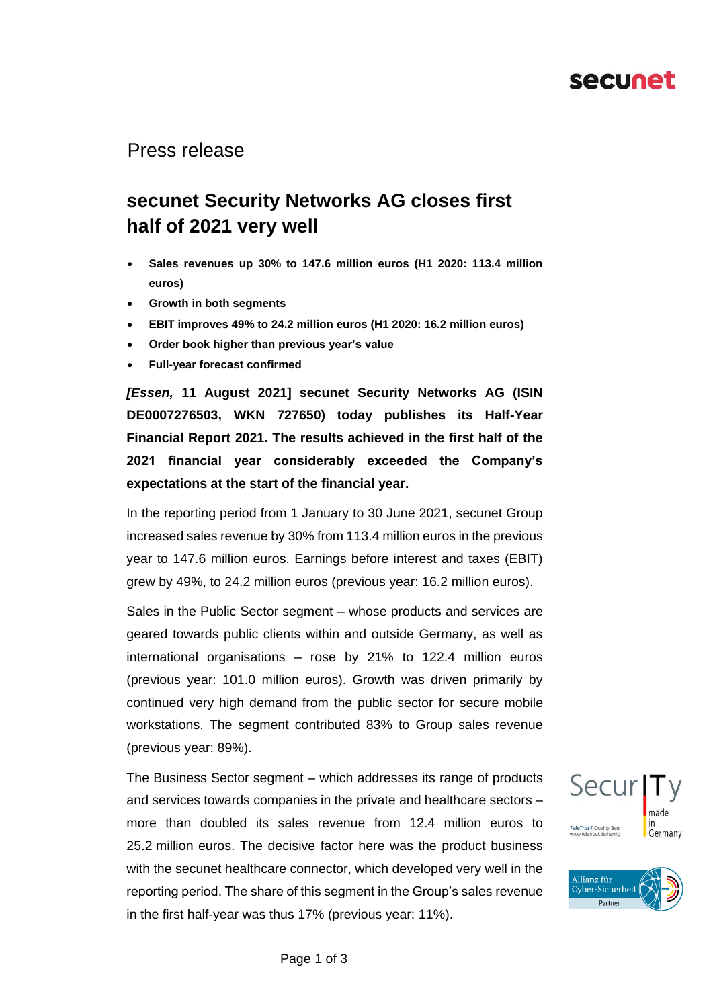## secunet

#### Press release

## **secunet Security Networks AG closes first half of 2021 very well**

- **Sales revenues up 30% to 147.6 million euros (H1 2020: 113.4 million euros)**
- **Growth in both segments**
- **EBIT improves 49% to 24.2 million euros (H1 2020: 16.2 million euros)**
- **Order book higher than previous year's value**
- **Full-year forecast confirmed**

*[Essen,* **11 August 2021] secunet Security Networks AG (ISIN DE0007276503, WKN 727650) today publishes its Half-Year Financial Report 2021. The results achieved in the first half of the 2021 financial year considerably exceeded the Company's expectations at the start of the financial year.**

In the reporting period from 1 January to 30 June 2021, secunet Group increased sales revenue by 30% from 113.4 million euros in the previous year to 147.6 million euros. Earnings before interest and taxes (EBIT) grew by 49%, to 24.2 million euros (previous year: 16.2 million euros).

Sales in the Public Sector segment – whose products and services are geared towards public clients within and outside Germany, as well as international organisations – rose by 21% to 122.4 million euros (previous year: 101.0 million euros). Growth was driven primarily by continued very high demand from the public sector for secure mobile workstations. The segment contributed 83% to Group sales revenue (previous year: 89%).

The Business Sector segment – which addresses its range of products and services towards companies in the private and healthcare sectors – more than doubled its sales revenue from 12.4 million euros to 25.2 million euros. The decisive factor here was the product business with the secunet healthcare connector, which developed very well in the reporting period. The share of this segment in the Group's sales revenue in the first half-year was thus 17% (previous year: 11%).



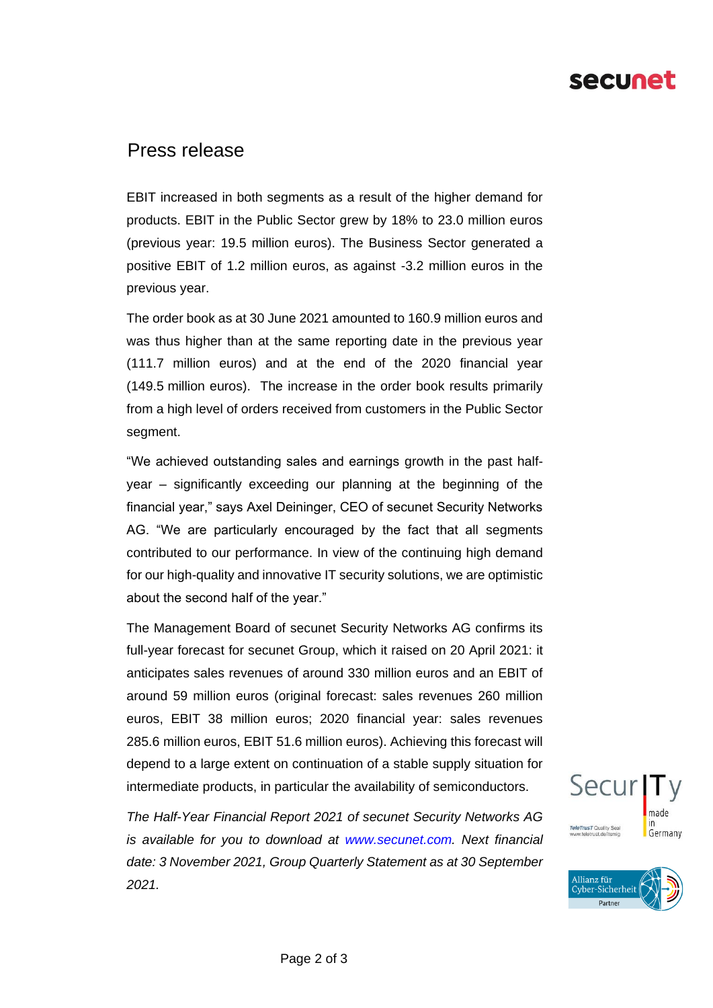# secunet

### Press release

EBIT increased in both segments as a result of the higher demand for products. EBIT in the Public Sector grew by 18% to 23.0 million euros (previous year: 19.5 million euros). The Business Sector generated a positive EBIT of 1.2 million euros, as against -3.2 million euros in the previous year.

The order book as at 30 June 2021 amounted to 160.9 million euros and was thus higher than at the same reporting date in the previous year (111.7 million euros) and at the end of the 2020 financial year (149.5 million euros). The increase in the order book results primarily from a high level of orders received from customers in the Public Sector segment.

"We achieved outstanding sales and earnings growth in the past halfyear – significantly exceeding our planning at the beginning of the financial year," says Axel Deininger, CEO of secunet Security Networks AG. "We are particularly encouraged by the fact that all segments contributed to our performance. In view of the continuing high demand for our high-quality and innovative IT security solutions, we are optimistic about the second half of the year."

The Management Board of secunet Security Networks AG confirms its full-year forecast for secunet Group, which it raised on 20 April 2021: it anticipates sales revenues of around 330 million euros and an EBIT of around 59 million euros (original forecast: sales revenues 260 million euros, EBIT 38 million euros; 2020 financial year: sales revenues 285.6 million euros, EBIT 51.6 million euros). Achieving this forecast will depend to a large extent on continuation of a stable supply situation for intermediate products, in particular the availability of semiconductors.

*The Half-Year Financial Report 2021 of secunet Security Networks AG is available for you to download at www.secunet.com. Next financial date: 3 November 2021, Group Quarterly Statement as at 30 September 2021.*